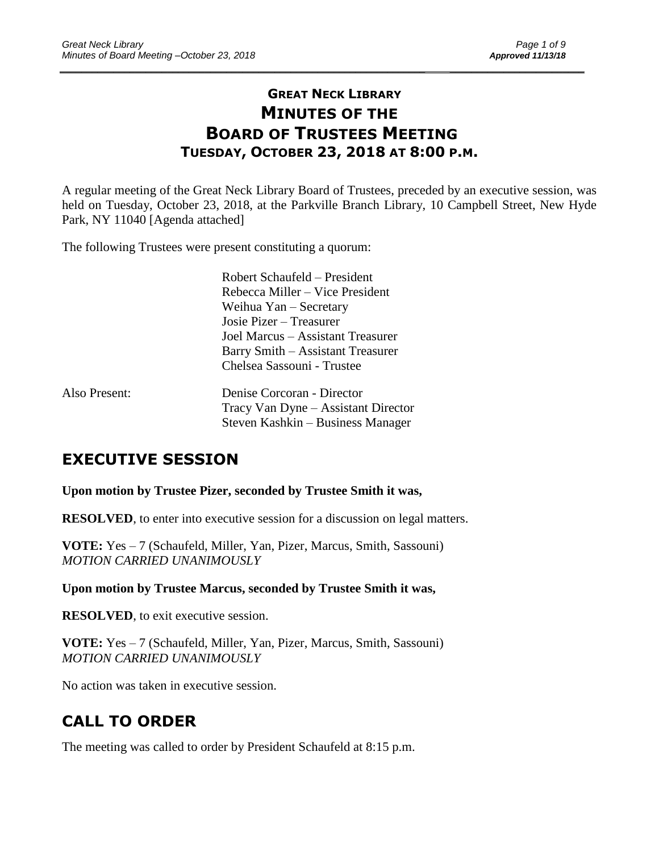# **GREAT NECK LIBRARY MINUTES OF THE BOARD OF TRUSTEES MEETING TUESDAY, OCTOBER 23, 2018 AT 8:00 P.M.**

\_\_\_\_\_\_\_\_\_\_\_\_\_\_\_\_\_\_\_\_\_\_\_\_\_\_\_\_\_\_\_\_\_\_\_\_\_\_\_\_\_\_\_\_\_\_\_\_\_\_\_\_\_\_\_\_\_\_\_\_\_\_\_\_\_\_\_\_ \_\_\_\_\_\_\_\_\_\_\_\_\_\_\_\_\_\_\_\_\_\_\_\_\_

A regular meeting of the Great Neck Library Board of Trustees, preceded by an executive session, was held on Tuesday, October 23, 2018, at the Parkville Branch Library, 10 Campbell Street, New Hyde Park, NY 11040 [Agenda attached]

The following Trustees were present constituting a quorum:

|               | Robert Schaufeld – President        |  |  |
|---------------|-------------------------------------|--|--|
|               | Rebecca Miller – Vice President     |  |  |
|               | Weihua Yan – Secretary              |  |  |
|               | Josie Pizer – Treasurer             |  |  |
|               | Joel Marcus – Assistant Treasurer   |  |  |
|               | Barry Smith – Assistant Treasurer   |  |  |
|               | Chelsea Sassouni - Trustee          |  |  |
| Also Present: | Denise Corcoran - Director          |  |  |
|               | Tracy Van Dyne - Assistant Director |  |  |
|               | Steven Kashkin – Business Manager   |  |  |

# **EXECUTIVE SESSION**

**Upon motion by Trustee Pizer, seconded by Trustee Smith it was,**

**RESOLVED**, to enter into executive session for a discussion on legal matters.

**VOTE:** Yes – 7 (Schaufeld, Miller, Yan, Pizer, Marcus, Smith, Sassouni) *MOTION CARRIED UNANIMOUSLY*

**Upon motion by Trustee Marcus, seconded by Trustee Smith it was,**

**RESOLVED**, to exit executive session.

**VOTE:** Yes – 7 (Schaufeld, Miller, Yan, Pizer, Marcus, Smith, Sassouni) *MOTION CARRIED UNANIMOUSLY*

No action was taken in executive session.

# **CALL TO ORDER**

The meeting was called to order by President Schaufeld at 8:15 p.m.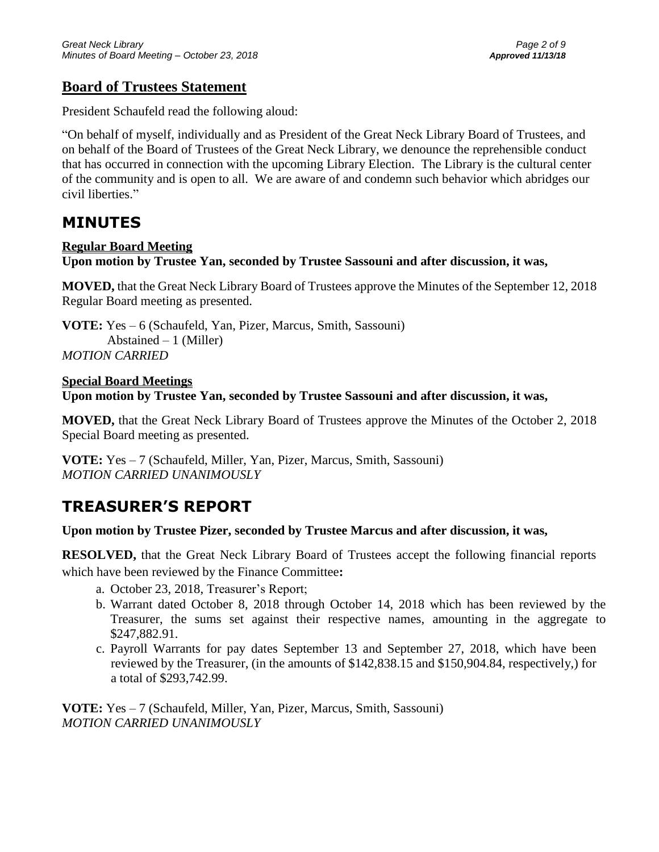## **Board of Trustees Statement**

President Schaufeld read the following aloud:

"On behalf of myself, individually and as President of the Great Neck Library Board of Trustees, and on behalf of the Board of Trustees of the Great Neck Library, we denounce the reprehensible conduct that has occurred in connection with the upcoming Library Election. The Library is the cultural center of the community and is open to all. We are aware of and condemn such behavior which abridges our civil liberties."

# **MINUTES**

## **Regular Board Meeting**

**Upon motion by Trustee Yan, seconded by Trustee Sassouni and after discussion, it was,**

**MOVED,** that the Great Neck Library Board of Trustees approve the Minutes of the September 12, 2018 Regular Board meeting as presented.

**VOTE:** Yes – 6 (Schaufeld, Yan, Pizer, Marcus, Smith, Sassouni) Abstained – 1 (Miller) *MOTION CARRIED* 

#### **Special Board Meetings**

**Upon motion by Trustee Yan, seconded by Trustee Sassouni and after discussion, it was,**

**MOVED,** that the Great Neck Library Board of Trustees approve the Minutes of the October 2, 2018 Special Board meeting as presented.

**VOTE:** Yes – 7 (Schaufeld, Miller, Yan, Pizer, Marcus, Smith, Sassouni) *MOTION CARRIED UNANIMOUSLY*

# **TREASURER'S REPORT**

**Upon motion by Trustee Pizer, seconded by Trustee Marcus and after discussion, it was,**

**RESOLVED,** that the Great Neck Library Board of Trustees accept the following financial reports which have been reviewed by the Finance Committee**:** 

- a. October 23, 2018, Treasurer's Report;
- b. Warrant dated October 8, 2018 through October 14, 2018 which has been reviewed by the Treasurer, the sums set against their respective names, amounting in the aggregate to \$247,882.91.
- c. Payroll Warrants for pay dates September 13 and September 27, 2018, which have been reviewed by the Treasurer, (in the amounts of \$142,838.15 and \$150,904.84, respectively,) for a total of \$293,742.99.

**VOTE:** Yes – 7 (Schaufeld, Miller, Yan, Pizer, Marcus, Smith, Sassouni) *MOTION CARRIED UNANIMOUSLY*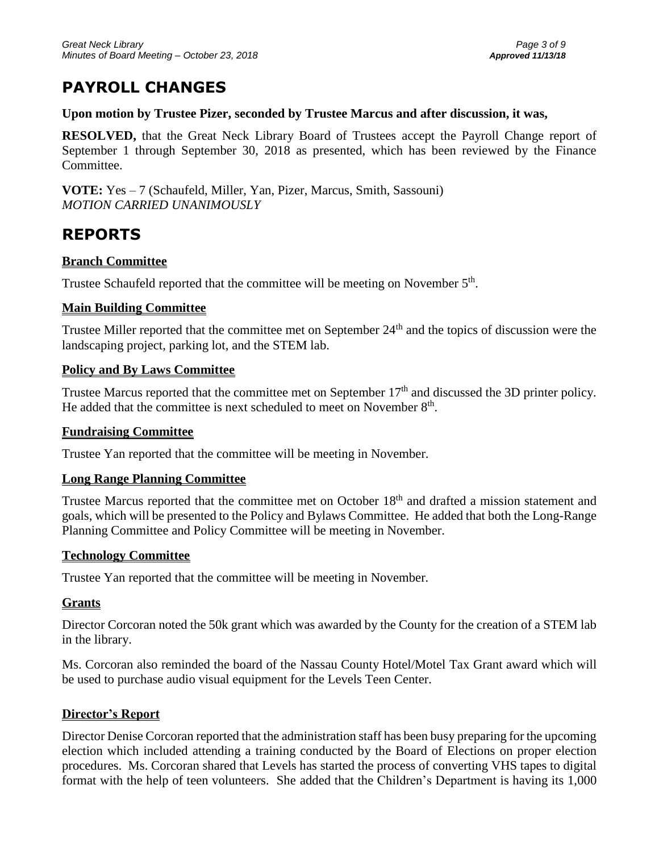# **PAYROLL CHANGES**

#### **Upon motion by Trustee Pizer, seconded by Trustee Marcus and after discussion, it was,**

**RESOLVED,** that the Great Neck Library Board of Trustees accept the Payroll Change report of September 1 through September 30, 2018 as presented, which has been reviewed by the Finance Committee.

**VOTE:** Yes – 7 (Schaufeld, Miller, Yan, Pizer, Marcus, Smith, Sassouni) *MOTION CARRIED UNANIMOUSLY*

# **REPORTS**

### **Branch Committee**

Trustee Schaufeld reported that the committee will be meeting on November  $5<sup>th</sup>$ .

### **Main Building Committee**

Trustee Miller reported that the committee met on September 24<sup>th</sup> and the topics of discussion were the landscaping project, parking lot, and the STEM lab.

### **Policy and By Laws Committee**

Trustee Marcus reported that the committee met on September  $17<sup>th</sup>$  and discussed the 3D printer policy. He added that the committee is next scheduled to meet on November 8<sup>th</sup>.

#### **Fundraising Committee**

Trustee Yan reported that the committee will be meeting in November.

### **Long Range Planning Committee**

Trustee Marcus reported that the committee met on October 18<sup>th</sup> and drafted a mission statement and goals, which will be presented to the Policy and Bylaws Committee. He added that both the Long-Range Planning Committee and Policy Committee will be meeting in November.

### **Technology Committee**

Trustee Yan reported that the committee will be meeting in November.

### **Grants**

Director Corcoran noted the 50k grant which was awarded by the County for the creation of a STEM lab in the library.

Ms. Corcoran also reminded the board of the Nassau County Hotel/Motel Tax Grant award which will be used to purchase audio visual equipment for the Levels Teen Center.

### **Director's Report**

Director Denise Corcoran reported that the administration staff has been busy preparing for the upcoming election which included attending a training conducted by the Board of Elections on proper election procedures. Ms. Corcoran shared that Levels has started the process of converting VHS tapes to digital format with the help of teen volunteers. She added that the Children's Department is having its 1,000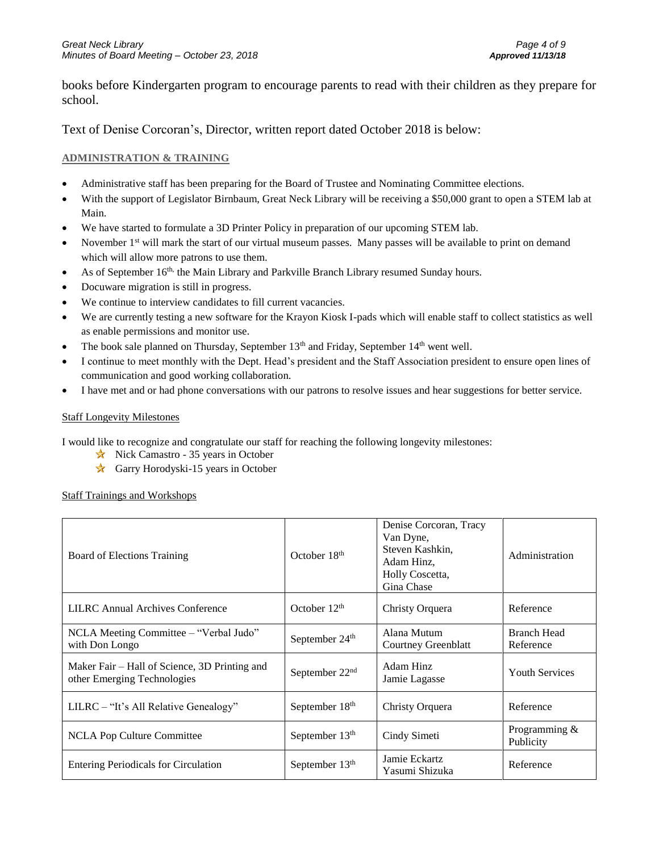books before Kindergarten program to encourage parents to read with their children as they prepare for school.

Text of Denise Corcoran's, Director, written report dated October 2018 is below:

#### **ADMINISTRATION & TRAINING**

- Administrative staff has been preparing for the Board of Trustee and Nominating Committee elections.
- With the support of Legislator Birnbaum, Great Neck Library will be receiving a \$50,000 grant to open a STEM lab at Main.
- We have started to formulate a 3D Printer Policy in preparation of our upcoming STEM lab.
- November  $1<sup>st</sup>$  will mark the start of our virtual museum passes. Many passes will be available to print on demand which will allow more patrons to use them.
- As of September 16<sup>th,</sup> the Main Library and Parkville Branch Library resumed Sunday hours.
- Docuware migration is still in progress.
- We continue to interview candidates to fill current vacancies.
- We are currently testing a new software for the Krayon Kiosk I-pads which will enable staff to collect statistics as well as enable permissions and monitor use.
- The book sale planned on Thursday, September  $13<sup>th</sup>$  and Friday, September  $14<sup>th</sup>$  went well.
- I continue to meet monthly with the Dept. Head's president and the Staff Association president to ensure open lines of communication and good working collaboration.
- I have met and or had phone conversations with our patrons to resolve issues and hear suggestions for better service.

#### Staff Longevity Milestones

I would like to recognize and congratulate our staff for reaching the following longevity milestones:

- Nick Camastro 35 years in October
- Garry Horodyski-15 years in October

#### Staff Trainings and Workshops

| <b>Board of Elections Training</b>                                           | October $18th$             | Denise Corcoran, Tracy<br>Van Dyne,<br>Steven Kashkin,<br>Adam Hinz,<br>Holly Coscetta,<br>Gina Chase | Administration                  |
|------------------------------------------------------------------------------|----------------------------|-------------------------------------------------------------------------------------------------------|---------------------------------|
| LILRC Annual Archives Conference                                             | October $12th$             | Christy Orquera                                                                                       | Reference                       |
| NCLA Meeting Committee – "Verbal Judo"<br>with Don Longo                     | September 24 <sup>th</sup> | Alana Mutum<br>Courtney Greenblatt                                                                    | <b>Branch Head</b><br>Reference |
| Maker Fair – Hall of Science, 3D Printing and<br>other Emerging Technologies | September $22nd$           | Adam Hinz<br>Jamie Lagasse                                                                            | <b>Youth Services</b>           |
| $LILRC - "It's All Relative Genealogy"$                                      | September 18 <sup>th</sup> | Christy Orquera                                                                                       | Reference                       |
| NCLA Pop Culture Committee                                                   | September $13th$           | Cindy Simeti                                                                                          | Programming $&$<br>Publicity    |
| <b>Entering Periodicals for Circulation</b>                                  | September $13th$           | Jamie Eckartz<br>Yasumi Shizuka                                                                       | Reference                       |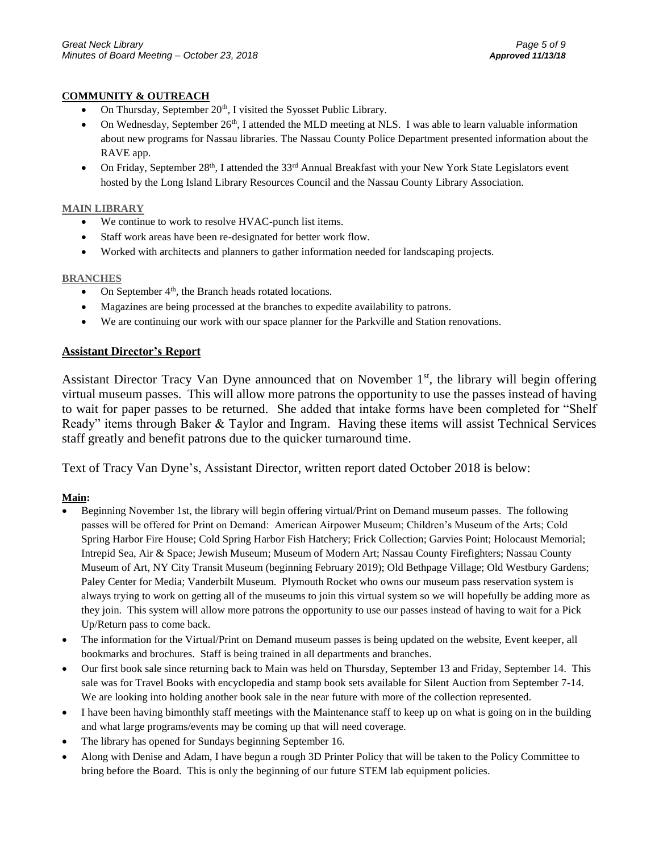#### **COMMUNITY & OUTREACH**

- On Thursday, September  $20<sup>th</sup>$ , I visited the Syosset Public Library.
- On Wednesday, September 26<sup>th</sup>, I attended the MLD meeting at NLS. I was able to learn valuable information about new programs for Nassau libraries. The Nassau County Police Department presented information about the RAVE app.
- On Friday, September  $28^{th}$ , I attended the  $33^{rd}$  Annual Breakfast with your New York State Legislators event hosted by the Long Island Library Resources Council and the Nassau County Library Association.

#### **MAIN LIBRARY**

- We continue to work to resolve HVAC-punch list items.
- Staff work areas have been re-designated for better work flow.
- Worked with architects and planners to gather information needed for landscaping projects.

#### **BRANCHES**

- On September  $4<sup>th</sup>$ , the Branch heads rotated locations.
- Magazines are being processed at the branches to expedite availability to patrons.
- We are continuing our work with our space planner for the Parkville and Station renovations.

#### **Assistant Director's Report**

Assistant Director Tracy Van Dyne announced that on November 1<sup>st</sup>, the library will begin offering virtual museum passes. This will allow more patrons the opportunity to use the passes instead of having to wait for paper passes to be returned. She added that intake forms have been completed for "Shelf Ready" items through Baker & Taylor and Ingram. Having these items will assist Technical Services staff greatly and benefit patrons due to the quicker turnaround time.

Text of Tracy Van Dyne's, Assistant Director, written report dated October 2018 is below:

#### **Main:**

- Beginning November 1st, the library will begin offering virtual/Print on Demand museum passes. The following passes will be offered for Print on Demand: American Airpower Museum; Children's Museum of the Arts; Cold Spring Harbor Fire House; Cold Spring Harbor Fish Hatchery; Frick Collection; Garvies Point; Holocaust Memorial; Intrepid Sea, Air & Space; Jewish Museum; Museum of Modern Art; Nassau County Firefighters; Nassau County Museum of Art, NY City Transit Museum (beginning February 2019); Old Bethpage Village; Old Westbury Gardens; Paley Center for Media; Vanderbilt Museum. Plymouth Rocket who owns our museum pass reservation system is always trying to work on getting all of the museums to join this virtual system so we will hopefully be adding more as they join. This system will allow more patrons the opportunity to use our passes instead of having to wait for a Pick Up/Return pass to come back.
- The information for the Virtual/Print on Demand museum passes is being updated on the website, Event keeper, all bookmarks and brochures. Staff is being trained in all departments and branches.
- Our first book sale since returning back to Main was held on Thursday, September 13 and Friday, September 14. This sale was for Travel Books with encyclopedia and stamp book sets available for Silent Auction from September 7-14. We are looking into holding another book sale in the near future with more of the collection represented.
- I have been having bimonthly staff meetings with the Maintenance staff to keep up on what is going on in the building and what large programs/events may be coming up that will need coverage.
- The library has opened for Sundays beginning September 16.
- Along with Denise and Adam, I have begun a rough 3D Printer Policy that will be taken to the Policy Committee to bring before the Board. This is only the beginning of our future STEM lab equipment policies.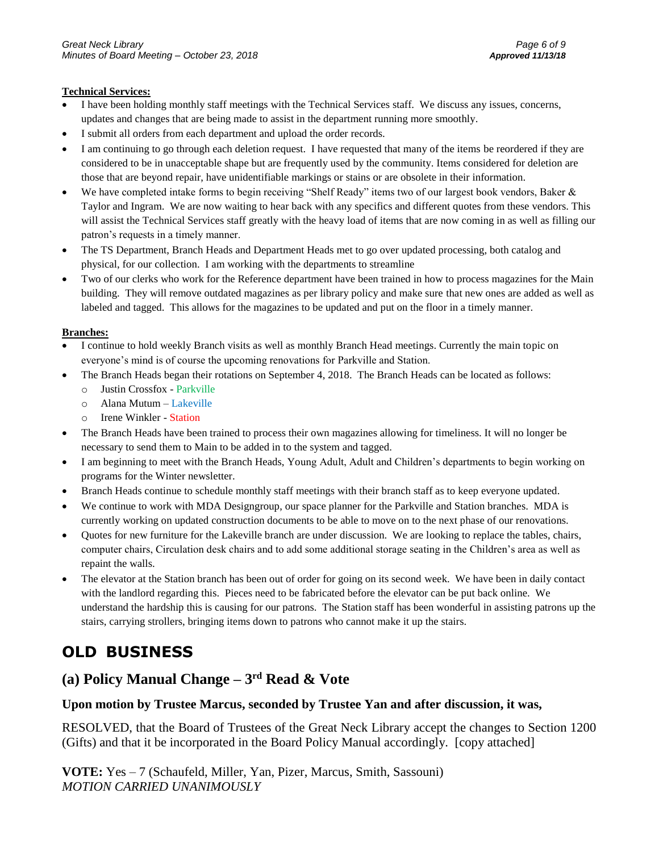#### **Technical Services:**

- I have been holding monthly staff meetings with the Technical Services staff. We discuss any issues, concerns, updates and changes that are being made to assist in the department running more smoothly.
- I submit all orders from each department and upload the order records.
- I am continuing to go through each deletion request. I have requested that many of the items be reordered if they are considered to be in unacceptable shape but are frequently used by the community. Items considered for deletion are those that are beyond repair, have unidentifiable markings or stains or are obsolete in their information.
- We have completed intake forms to begin receiving "Shelf Ready" items two of our largest book vendors, Baker & Taylor and Ingram. We are now waiting to hear back with any specifics and different quotes from these vendors. This will assist the Technical Services staff greatly with the heavy load of items that are now coming in as well as filling our patron's requests in a timely manner.
- The TS Department, Branch Heads and Department Heads met to go over updated processing, both catalog and physical, for our collection. I am working with the departments to streamline
- Two of our clerks who work for the Reference department have been trained in how to process magazines for the Main building. They will remove outdated magazines as per library policy and make sure that new ones are added as well as labeled and tagged. This allows for the magazines to be updated and put on the floor in a timely manner.

#### **Branches:**

- I continue to hold weekly Branch visits as well as monthly Branch Head meetings. Currently the main topic on everyone's mind is of course the upcoming renovations for Parkville and Station.
- The Branch Heads began their rotations on September 4, 2018. The Branch Heads can be located as follows:
	- o Justin Crossfox Parkville
	- o Alana Mutum Lakeville
	- o Irene Winkler Station
- The Branch Heads have been trained to process their own magazines allowing for timeliness. It will no longer be necessary to send them to Main to be added in to the system and tagged.
- I am beginning to meet with the Branch Heads, Young Adult, Adult and Children's departments to begin working on programs for the Winter newsletter.
- Branch Heads continue to schedule monthly staff meetings with their branch staff as to keep everyone updated.
- We continue to work with MDA Designgroup, our space planner for the Parkville and Station branches. MDA is currently working on updated construction documents to be able to move on to the next phase of our renovations.
- Quotes for new furniture for the Lakeville branch are under discussion. We are looking to replace the tables, chairs, computer chairs, Circulation desk chairs and to add some additional storage seating in the Children's area as well as repaint the walls.
- The elevator at the Station branch has been out of order for going on its second week. We have been in daily contact with the landlord regarding this. Pieces need to be fabricated before the elevator can be put back online. We understand the hardship this is causing for our patrons. The Station staff has been wonderful in assisting patrons up the stairs, carrying strollers, bringing items down to patrons who cannot make it up the stairs.

# **OLD BUSINESS**

# **(a) Policy Manual Change – 3 rd Read & Vote**

### **Upon motion by Trustee Marcus, seconded by Trustee Yan and after discussion, it was,**

RESOLVED, that the Board of Trustees of the Great Neck Library accept the changes to Section 1200 (Gifts) and that it be incorporated in the Board Policy Manual accordingly. [copy attached]

**VOTE:** Yes – 7 (Schaufeld, Miller, Yan, Pizer, Marcus, Smith, Sassouni) *MOTION CARRIED UNANIMOUSLY*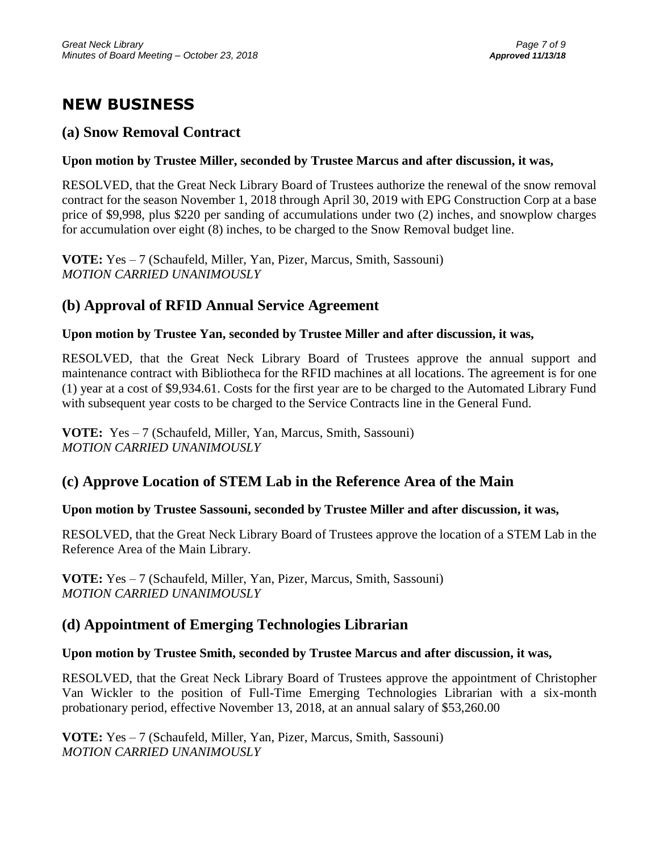# **NEW BUSINESS**

## **(a) Snow Removal Contract**

### **Upon motion by Trustee Miller, seconded by Trustee Marcus and after discussion, it was,**

RESOLVED, that the Great Neck Library Board of Trustees authorize the renewal of the snow removal contract for the season November 1, 2018 through April 30, 2019 with EPG Construction Corp at a base price of \$9,998, plus \$220 per sanding of accumulations under two (2) inches, and snowplow charges for accumulation over eight (8) inches, to be charged to the Snow Removal budget line.

**VOTE:** Yes – 7 (Schaufeld, Miller, Yan, Pizer, Marcus, Smith, Sassouni) *MOTION CARRIED UNANIMOUSLY*

## **(b) Approval of RFID Annual Service Agreement**

### **Upon motion by Trustee Yan, seconded by Trustee Miller and after discussion, it was,**

RESOLVED, that the Great Neck Library Board of Trustees approve the annual support and maintenance contract with Bibliotheca for the RFID machines at all locations. The agreement is for one (1) year at a cost of \$9,934.61. Costs for the first year are to be charged to the Automated Library Fund with subsequent year costs to be charged to the Service Contracts line in the General Fund.

**VOTE:** Yes – 7 (Schaufeld, Miller, Yan, Marcus, Smith, Sassouni) *MOTION CARRIED UNANIMOUSLY*

# **(c) Approve Location of STEM Lab in the Reference Area of the Main**

### **Upon motion by Trustee Sassouni, seconded by Trustee Miller and after discussion, it was,**

RESOLVED, that the Great Neck Library Board of Trustees approve the location of a STEM Lab in the Reference Area of the Main Library.

**VOTE:** Yes – 7 (Schaufeld, Miller, Yan, Pizer, Marcus, Smith, Sassouni) *MOTION CARRIED UNANIMOUSLY*

## **(d) Appointment of Emerging Technologies Librarian**

### **Upon motion by Trustee Smith, seconded by Trustee Marcus and after discussion, it was,**

RESOLVED, that the Great Neck Library Board of Trustees approve the appointment of Christopher Van Wickler to the position of Full-Time Emerging Technologies Librarian with a six-month probationary period, effective November 13, 2018, at an annual salary of \$53,260.00

**VOTE:** Yes – 7 (Schaufeld, Miller, Yan, Pizer, Marcus, Smith, Sassouni) *MOTION CARRIED UNANIMOUSLY*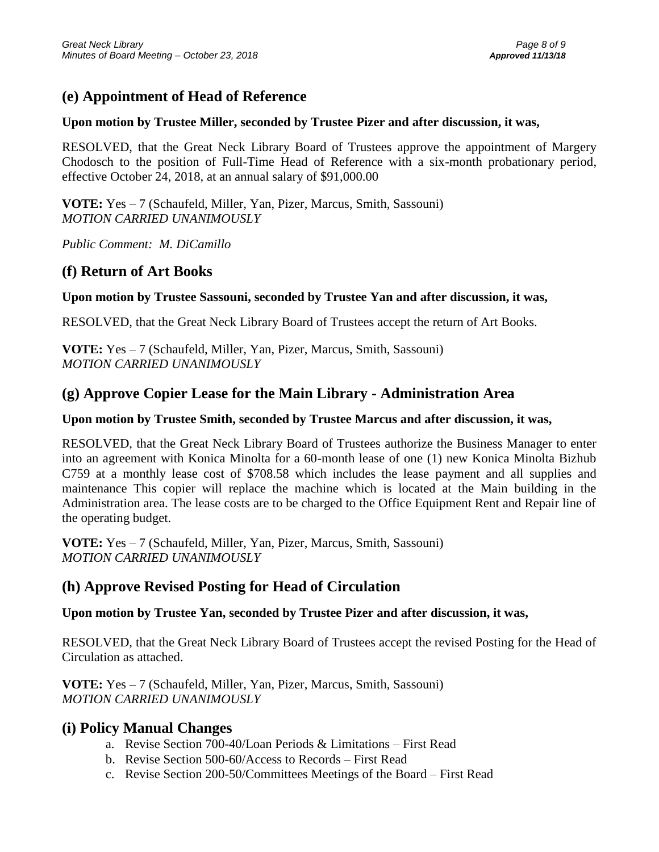## **(e) Appointment of Head of Reference**

#### **Upon motion by Trustee Miller, seconded by Trustee Pizer and after discussion, it was,**

RESOLVED, that the Great Neck Library Board of Trustees approve the appointment of Margery Chodosch to the position of Full-Time Head of Reference with a six-month probationary period, effective October 24, 2018, at an annual salary of \$91,000.00

**VOTE:** Yes – 7 (Schaufeld, Miller, Yan, Pizer, Marcus, Smith, Sassouni) *MOTION CARRIED UNANIMOUSLY*

*Public Comment: M. DiCamillo*

### **(f) Return of Art Books**

#### **Upon motion by Trustee Sassouni, seconded by Trustee Yan and after discussion, it was,**

RESOLVED, that the Great Neck Library Board of Trustees accept the return of Art Books.

**VOTE:** Yes – 7 (Schaufeld, Miller, Yan, Pizer, Marcus, Smith, Sassouni) *MOTION CARRIED UNANIMOUSLY*

### **(g) Approve Copier Lease for the Main Library - Administration Area**

#### **Upon motion by Trustee Smith, seconded by Trustee Marcus and after discussion, it was,**

RESOLVED, that the Great Neck Library Board of Trustees authorize the Business Manager to enter into an agreement with Konica Minolta for a 60-month lease of one (1) new Konica Minolta Bizhub C759 at a monthly lease cost of \$708.58 which includes the lease payment and all supplies and maintenance This copier will replace the machine which is located at the Main building in the Administration area. The lease costs are to be charged to the Office Equipment Rent and Repair line of the operating budget.

**VOTE:** Yes – 7 (Schaufeld, Miller, Yan, Pizer, Marcus, Smith, Sassouni) *MOTION CARRIED UNANIMOUSLY*

### **(h) Approve Revised Posting for Head of Circulation**

#### **Upon motion by Trustee Yan, seconded by Trustee Pizer and after discussion, it was,**

RESOLVED, that the Great Neck Library Board of Trustees accept the revised Posting for the Head of Circulation as attached.

**VOTE:** Yes – 7 (Schaufeld, Miller, Yan, Pizer, Marcus, Smith, Sassouni) *MOTION CARRIED UNANIMOUSLY*

#### **(i) Policy Manual Changes**

- a. Revise Section 700-40/Loan Periods & Limitations First Read
- b. Revise Section 500-60/Access to Records First Read
- c. Revise Section 200-50/Committees Meetings of the Board First Read